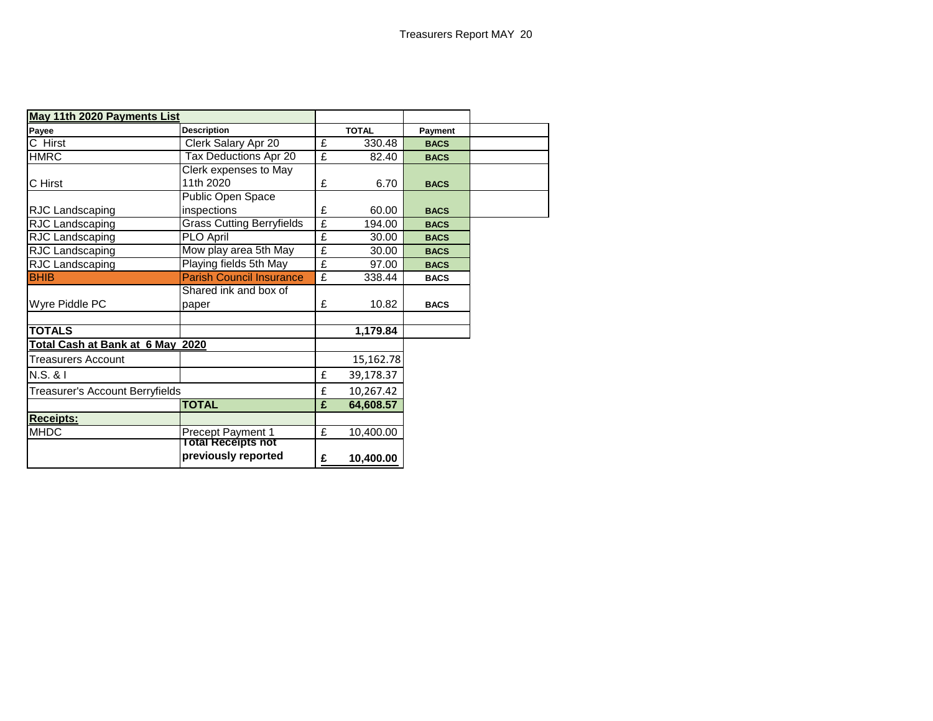| May 11th 2020 Payments List      |                                  |   |              |             |  |
|----------------------------------|----------------------------------|---|--------------|-------------|--|
| Payee                            | <b>Description</b>               |   | <b>TOTAL</b> | Payment     |  |
| C Hirst                          | Clerk Salary Apr 20              | £ | 330.48       | <b>BACS</b> |  |
| <b>HMRC</b>                      | Tax Deductions Apr 20            | £ | 82.40        | <b>BACS</b> |  |
|                                  | Clerk expenses to May            |   |              |             |  |
| C Hirst                          | 11th 2020                        | £ | 6.70         | <b>BACS</b> |  |
|                                  | Public Open Space                |   |              |             |  |
| RJC Landscaping                  | inspections                      | £ | 60.00        | <b>BACS</b> |  |
| RJC Landscaping                  | <b>Grass Cutting Berryfields</b> | £ | 194.00       | <b>BACS</b> |  |
| RJC Landscaping                  | PLO April                        | £ | 30.00        | <b>BACS</b> |  |
| RJC Landscaping                  | Mow play area 5th May            | £ | 30.00        | <b>BACS</b> |  |
| RJC Landscaping                  | Playing fields 5th May           | £ | 97.00        | <b>BACS</b> |  |
| <b>BHIB</b>                      | <b>Parish Council Insurance</b>  | £ | 338.44       | <b>BACS</b> |  |
|                                  | Shared ink and box of            |   |              |             |  |
| Wyre Piddle PC                   | paper                            | £ | 10.82        | <b>BACS</b> |  |
|                                  |                                  |   |              |             |  |
| <b>TOTALS</b>                    |                                  |   | 1,179.84     |             |  |
| Total Cash at Bank at 6 May 2020 |                                  |   |              |             |  |
| <b>Treasurers Account</b>        |                                  |   | 15,162.78    |             |  |
| N.S. & I                         |                                  | £ | 39,178.37    |             |  |
| Treasurer's Account Berryfields  |                                  | £ | 10,267.42    |             |  |
|                                  | <b>TOTAL</b>                     | £ | 64,608.57    |             |  |
| <b>Receipts:</b>                 |                                  |   |              |             |  |
| <b>MHDC</b>                      | Precept Payment 1                | £ | 10,400.00    |             |  |
|                                  | <b>Total Receipts not</b>        |   |              |             |  |
|                                  | previously reported              | £ | 10,400.00    |             |  |